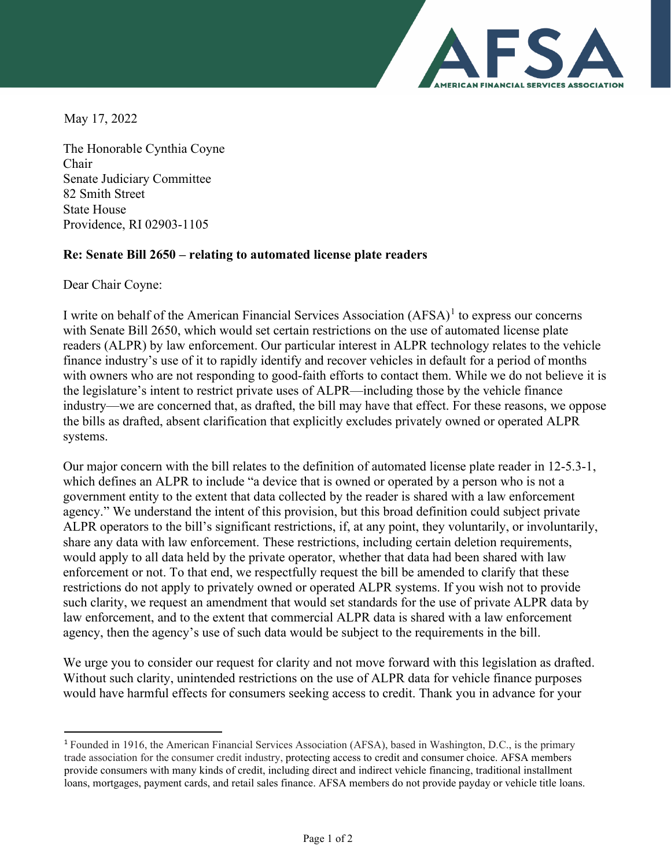

May 17, 2022

The Honorable Cynthia Coyne Chair Senate Judiciary Committee 82 Smith Street State House Providence, RI 02903-1105

## **Re: Senate Bill 2650 – relating to automated license plate readers**

Dear Chair Coyne:

I write on behalf of the American Financial Services Association (AFSA)<sup>[1](#page-0-0)</sup> to express our concerns with Senate Bill 2650, which would set certain restrictions on the use of automated license plate readers (ALPR) by law enforcement. Our particular interest in ALPR technology relates to the vehicle finance industry's use of it to rapidly identify and recover vehicles in default for a period of months with owners who are not responding to good-faith efforts to contact them. While we do not believe it is the legislature's intent to restrict private uses of ALPR—including those by the vehicle finance industry—we are concerned that, as drafted, the bill may have that effect. For these reasons, we oppose the bills as drafted, absent clarification that explicitly excludes privately owned or operated ALPR systems.

Our major concern with the bill relates to the definition of automated license plate reader in 12-5.3-1, which defines an ALPR to include "a device that is owned or operated by a person who is not a government entity to the extent that data collected by the reader is shared with a law enforcement agency." We understand the intent of this provision, but this broad definition could subject private ALPR operators to the bill's significant restrictions, if, at any point, they voluntarily, or involuntarily, share any data with law enforcement. These restrictions, including certain deletion requirements, would apply to all data held by the private operator, whether that data had been shared with law enforcement or not. To that end, we respectfully request the bill be amended to clarify that these restrictions do not apply to privately owned or operated ALPR systems. If you wish not to provide such clarity, we request an amendment that would set standards for the use of private ALPR data by law enforcement, and to the extent that commercial ALPR data is shared with a law enforcement agency, then the agency's use of such data would be subject to the requirements in the bill.

We urge you to consider our request for clarity and not move forward with this legislation as drafted. Without such clarity, unintended restrictions on the use of ALPR data for vehicle finance purposes would have harmful effects for consumers seeking access to credit. Thank you in advance for your

<span id="page-0-0"></span><sup>1</sup> Founded in 1916, the American Financial Services Association (AFSA), based in Washington, D.C., is the primary trade association for the consumer credit industry, protecting access to credit and consumer choice. AFSA members provide consumers with many kinds of credit, including direct and indirect vehicle financing, traditional installment loans, mortgages, payment cards, and retail sales finance. AFSA members do not provide payday or vehicle title loans.